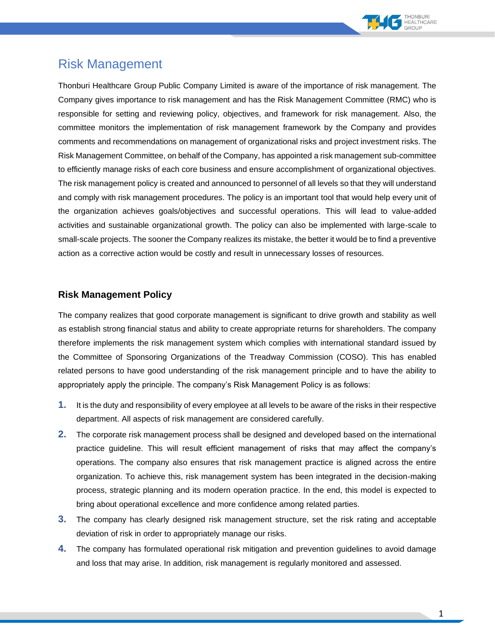

## Risk Management

Thonburi Healthcare Group Public Company Limited is aware of the importance of risk management. The Company gives importance to risk management and has the Risk Management Committee (RMC) who is responsible for setting and reviewing policy, objectives, and framework for risk management. Also, the committee monitors the implementation of risk management framework by the Company and provides comments and recommendations on management of organizational risks and project investment risks. The Risk Management Committee, on behalf of the Company, has appointed a risk management sub-committee to efficiently manage risks of each core business and ensure accomplishment of organizational objectives. The risk management policy is created and announced to personnel of all levels so that they will understand and comply with risk management procedures. The policy is an important tool that would help every unit of the organization achieves goals/objectives and successful operations. This will lead to value-added activities and sustainable organizational growth. The policy can also be implemented with large-scale to small-scale projects. The sooner the Company realizes its mistake, the better it would be to find a preventive action as a corrective action would be costly and result in unnecessary losses of resources.

## **Risk Management Policy**

The company realizes that good corporate management is significant to drive growth and stability as well as establish strong financial status and ability to create appropriate returns for shareholders. The company therefore implements the risk management system which complies with international standard issued by the Committee of Sponsoring Organizations of the Treadway Commission (COSO). This has enabled related persons to have good understanding of the risk management principle and to have the ability to appropriately apply the principle. The company's Risk Management Policy is as follows:

- **1.** It is the duty and responsibility of every employee at all levels to be aware of the risks in their respective department. All aspects of risk management are considered carefully.
- **2.** The corporate risk management process shall be designed and developed based on the international practice guideline. This will result efficient management of risks that may affect the company's operations. The company also ensures that risk management practice is aligned across the entire organization. To achieve this, risk management system has been integrated in the decision-making process, strategic planning and its modern operation practice. In the end, this model is expected to bring about operational excellence and more confidence among related parties.
- **3.** The company has clearly designed risk management structure, set the risk rating and acceptable deviation of risk in order to appropriately manage our risks.
- **4.** The company has formulated operational risk mitigation and prevention guidelines to avoid damage and loss that may arise. In addition, risk management is regularly monitored and assessed.